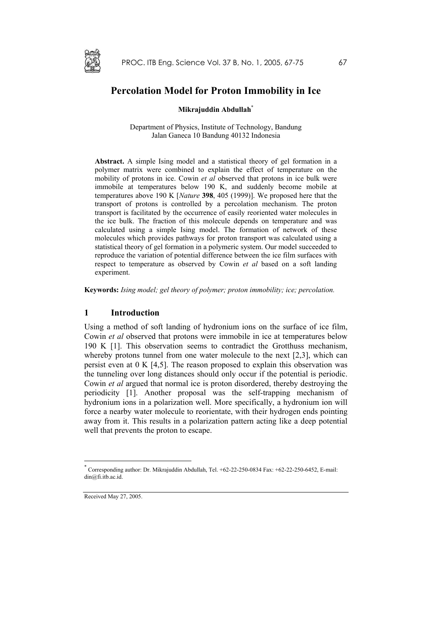

# **Percolation Model for Proton Immobility in Ice**

## **Mikrajuddin Abdulla[h\\*](#page-0-0)**

Department of Physics, Institute of Technology, Bandung Jalan Ganeca 10 Bandung 40132 Indonesia

**Abstract.** A simple Ising model and a statistical theory of gel formation in a polymer matrix were combined to explain the effect of temperature on the mobility of protons in ice. Cowin *et al* observed that protons in ice bulk were immobile at temperatures below 190 K, and suddenly become mobile at temperatures above 190 K [*Nature* **398**, 405 (1999)]. We proposed here that the transport of protons is controlled by a percolation mechanism. The proton transport is facilitated by the occurrence of easily reoriented water molecules in the ice bulk. The fraction of this molecule depends on temperature and was calculated using a simple Ising model. The formation of network of these molecules which provides pathways for proton transport was calculated using a statistical theory of gel formation in a polymeric system. Our model succeeded to reproduce the variation of potential difference between the ice film surfaces with respect to temperature as observed by Cowin *et al* based on a soft landing experiment.

**Keywords:** *Ising model; gel theory of polymer; proton immobility; ice; percolation.*

## **1 Introduction**

Using a method of soft landing of hydronium ions on the surface of ice film, Cowin *et al* observed that protons were immobile in ice at temperatures below 190 K [1]. This observation seems to contradict the Grotthuss mechanism, whereby protons tunnel from one water molecule to the next [2,3], which can persist even at 0 K [4,5]. The reason proposed to explain this observation was the tunneling over long distances should only occur if the potential is periodic. Cowin *et al* argued that normal ice is proton disordered, thereby destroying the periodicity [1]. Another proposal was the self-trapping mechanism of hydronium ions in a polarization well. More specifically, a hydronium ion will force a nearby water molecule to reorientate, with their hydrogen ends pointing away from it. This results in a polarization pattern acting like a deep potential well that prevents the proton to escape.

Received May 27, 2005.

 $\overline{a}$ 

<span id="page-0-0"></span><sup>\*</sup> Corresponding author: Dr. Mikrajuddin Abdullah, Tel. +62-22-250-0834 Fax: +62-22-250-6452, E-mail: din@fi.itb.ac.id.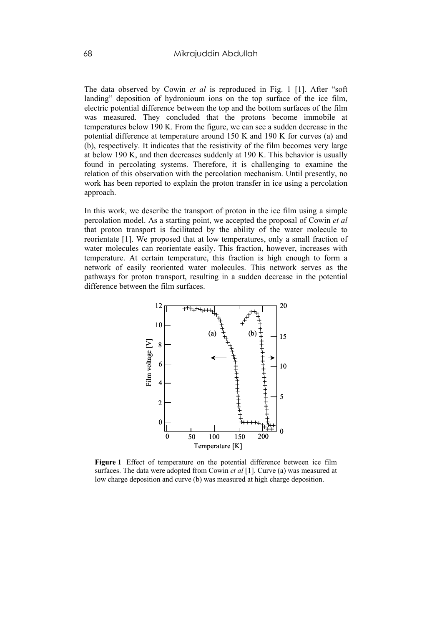The data observed by Cowin *et al* is reproduced in Fig. 1 [1]. After "soft landing" deposition of hydronioum ions on the top surface of the ice film, electric potential difference between the top and the bottom surfaces of the film was measured. They concluded that the protons become immobile at temperatures below 190 K. From the figure, we can see a sudden decrease in the potential difference at temperature around 150 K and 190 K for curves (a) and (b), respectively. It indicates that the resistivity of the film becomes very large at below 190 K, and then decreases suddenly at 190 K. This behavior is usually found in percolating systems. Therefore, it is challenging to examine the relation of this observation with the percolation mechanism. Until presently, no work has been reported to explain the proton transfer in ice using a percolation approach.

In this work, we describe the transport of proton in the ice film using a simple percolation model. As a starting point, we accepted the proposal of Cowin *et al* that proton transport is facilitated by the ability of the water molecule to reorientate [1]. We proposed that at low temperatures, only a small fraction of water molecules can reorientate easily. This fraction, however, increases with temperature. At certain temperature, this fraction is high enough to form a network of easily reoriented water molecules. This network serves as the pathways for proton transport, resulting in a sudden decrease in the potential difference between the film surfaces.



**Figure 1** Effect of temperature on the potential difference between ice film surfaces. The data were adopted from Cowin *et al* [1]. Curve (a) was measured at low charge deposition and curve (b) was measured at high charge deposition.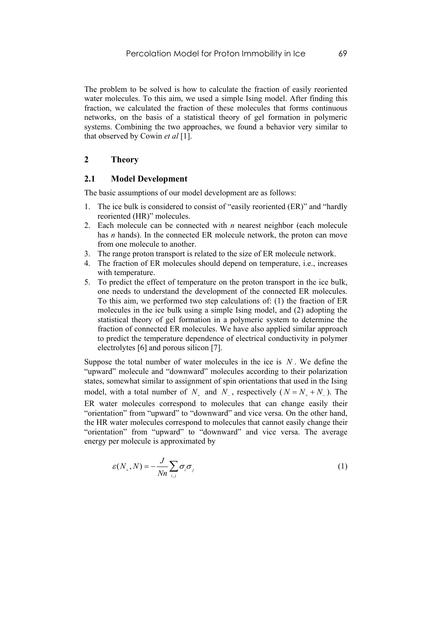The problem to be solved is how to calculate the fraction of easily reoriented water molecules. To this aim, we used a simple Ising model. After finding this fraction, we calculated the fraction of these molecules that forms continuous networks, on the basis of a statistical theory of gel formation in polymeric systems. Combining the two approaches, we found a behavior very similar to that observed by Cowin *et al* [1].

# **2 Theory**

# **2.1 Model Development**

The basic assumptions of our model development are as follows:

- 1. The ice bulk is considered to consist of "easily reoriented (ER)" and "hardly reoriented (HR)" molecules.
- 2. Each molecule can be connected with *n* nearest neighbor (each molecule has *n* hands). In the connected ER molecule network, the proton can move from one molecule to another.
- 3. The range proton transport is related to the size of ER molecule network.
- 4. The fraction of ER molecules should depend on temperature, i.e., increases with temperature.
- 5. To predict the effect of temperature on the proton transport in the ice bulk, one needs to understand the development of the connected ER molecules. To this aim, we performed two step calculations of: (1) the fraction of ER molecules in the ice bulk using a simple Ising model, and (2) adopting the statistical theory of gel formation in a polymeric system to determine the fraction of connected ER molecules. We have also applied similar approach to predict the temperature dependence of electrical conductivity in polymer electrolytes [6] and porous silicon [7].

Suppose the total number of water molecules in the ice is *N* . We define the "upward" molecule and "downward" molecules according to their polarization states, somewhat similar to assignment of spin orientations that used in the Ising model, with a total number of  $N_+$  and  $N_-$ , respectively ( $N = N_+ + N_-$ ). The ER water molecules correspond to molecules that can change easily their "orientation" from "upward" to "downward" and vice versa. On the other hand, the HR water molecules correspond to molecules that cannot easily change their "orientation" from "upward" to "downward" and vice versa. The average energy per molecule is approximated by

$$
\varepsilon(N_+, N) = -\frac{J}{Nn} \sum_{i,j} \sigma_i \sigma_j \tag{1}
$$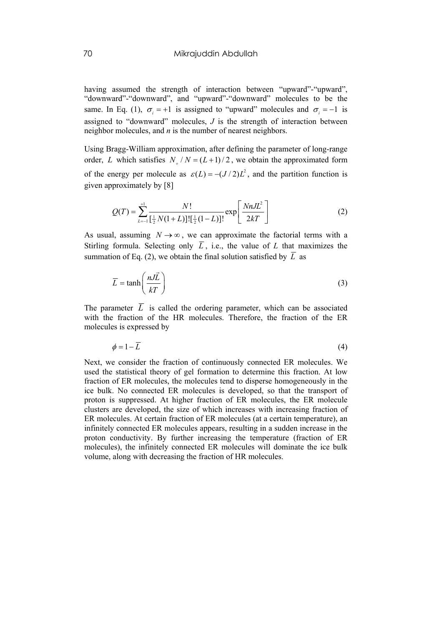having assumed the strength of interaction between "upward"-"upward". "downward"-"downward", and "upward"-"downward" molecules to be the same. In Eq. (1),  $\sigma_i = +1$  is assigned to "upward" molecules and  $\sigma_i = -1$  is assigned to "downward" molecules, *J* is the strength of interaction between neighbor molecules, and *n* is the number of nearest neighbors.

Using Bragg-William approximation, after defining the parameter of long-range order, L which satisfies  $N_{+}/N = (L+1)/2$ , we obtain the approximated form of the energy per molecule as  $\varepsilon(L) = -(J/2)L^2$ , and the partition function is given approximately by [8]

$$
Q(T) = \sum_{L=1}^{+1} \frac{N!}{\left[\frac{1}{2}N(1+L)\right]!\left[\frac{1}{2}(1-L)\right]!} \exp\left[\frac{NnJL^2}{2kT}\right]
$$
(2)

As usual, assuming  $N \rightarrow \infty$ , we can approximate the factorial terms with a Stirling formula. Selecting only *L* , i.e., the value of *L* that maximizes the summation of Eq. (2), we obtain the final solution satisfied by  $\overline{L}$  as

$$
\overline{L} = \tanh\left(\frac{nJ\overrightarrow{L}}{kT}\right) \tag{3}
$$

The parameter  $\overline{L}$  is called the ordering parameter, which can be associated with the fraction of the HR molecules. Therefore, the fraction of the ER molecules is expressed by

$$
\phi = 1 - \overline{L} \tag{4}
$$

Next, we consider the fraction of continuously connected ER molecules. We used the statistical theory of gel formation to determine this fraction. At low fraction of ER molecules, the molecules tend to disperse homogeneously in the ice bulk. No connected ER molecules is developed, so that the transport of proton is suppressed. At higher fraction of ER molecules, the ER molecule clusters are developed, the size of which increases with increasing fraction of ER molecules. At certain fraction of ER molecules (at a certain temperature), an infinitely connected ER molecules appears, resulting in a sudden increase in the proton conductivity. By further increasing the temperature (fraction of ER molecules), the infinitely connected ER molecules will dominate the ice bulk volume, along with decreasing the fraction of HR molecules.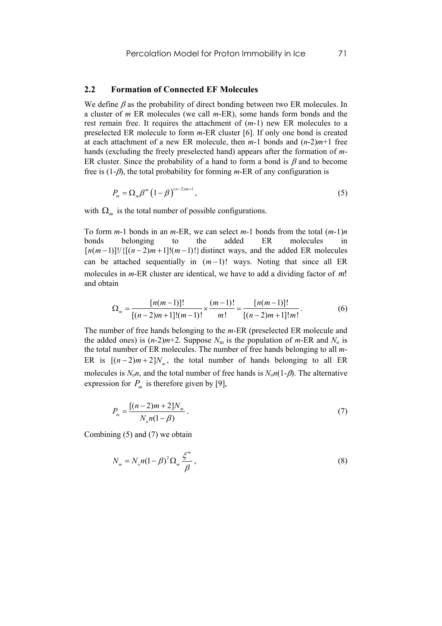#### **2.2 Formation of Connected EF Molecules**

We define  $\beta$  as the probability of direct bonding between two ER molecules. In a cluster of *m* ER molecules (we call *m*-ER), some hands form bonds and the rest remain free. It requires the attachment of (*m*-1) new ER molecules to a preselected ER molecule to form *m*-ER cluster [6]. If only one bond is created at each attachment of a new ER molecule, then  $m-1$  bonds and  $(n-2)m+1$  free hands (excluding the freely preselected hand) appears after the formation of *m*-ER cluster. Since the probability of a hand to form a bond is  $\beta$  and to become free is (1-β), the total probability for forming *m*-ER of any configuration is

$$
P_m = \Omega_m \beta^m \left(1 - \beta\right)^{(n-2)m+1},\tag{5}
$$

with  $\Omega_m$  is the total number of possible configurations.

To form *m*-1 bonds in an *m*-ER, we can select *m*-1 bonds from the total (*m*-1)*n* bonds belonging to the added ER molecules in  $\lceil n(m-1) \rceil! / \{[(n-2)m+1]!(m-1)!\}$  distinct ways, and the added ER molecules can be attached sequentially in  $(m-1)!$  ways. Noting that since all ER molecules in *m*-ER cluster are identical, we have to add a dividing factor of *m*! and obtain

$$
\Omega_m = \frac{[n(m-1)]!}{[(n-2)m+1]!(m-1)!} \times \frac{(m-1)!}{m!} = \frac{[n(m-1)]!}{[(n-2)m+1]!m!}.
$$
 (6)

The number of free hands belonging to the *m*-ER (preselected ER molecule and the added ones) is  $(n-2)m+2$ . Suppose  $N_m$  is the population of  $m$ -ER and  $N_o$  is the total number of ER molecules. The number of free hands belonging to all *m*-ER is  $[(n-2)m+2]N_m$ , the total number of hands belonging to all ER molecules is  $N_0$ *n*, and the total number of free hands is  $N_0$ *n*(1-*β*). The alternative expression for  $P_m$  is therefore given by [9],

$$
P_m = \frac{[(n-2)m+2]N_m}{N_m n(1-\beta)}.
$$
\n(7)

Combining (5) and (7) we obtain

$$
N_m = N_o n (1 - \beta)^2 \Omega_m \frac{\xi^m}{\beta}, \qquad (8)
$$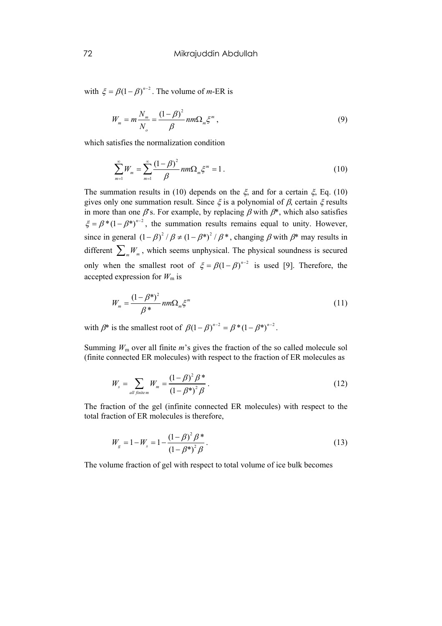with  $\xi = \beta (1 - \beta)^{n-2}$ . The volume of *m*-ER is

$$
W_m = m \frac{N_m}{N_o} = \frac{(1 - \beta)^2}{\beta} n m \Omega_m \xi^m,
$$
\n(9)

which satisfies the normalization condition

$$
\sum_{m=1}^{\infty} W_m = \sum_{m=1}^{\infty} \frac{(1-\beta)^2}{\beta} nm \Omega_m \xi^m = 1.
$$
 (10)

The summation results in (10) depends on the  $\xi$ , and for a certain  $\xi$ , Eq. (10) gives only one summation result. Since  $\xi$  is a polynomial of  $\beta$ , certain  $\xi$  results in more than one  $\beta$ 's. For example, by replacing  $\beta$  with  $\beta^*$ , which also satisfies  $\xi = \beta^* (1 - \beta^*)^{n-2}$ , the summation results remains equal to unity. However, since in general  $(1 - \beta)^2 / \beta \neq (1 - \beta^*)^2 / \beta^*$ , changing  $\beta$  with  $\beta^*$  may results in only when the smallest root of  $\xi = \beta(1-\beta)^{n-2}$  is used [9]. Therefore, the different  $\sum_{m}W_m$ , which seems unphysical. The physical soundness is secured accepted expression for  $W<sub>m</sub>$  is

$$
W_m = \frac{(1 - \beta^*)^2}{\beta^*} nm \Omega_m \xi^m
$$
\n(11)

with  $\beta^*$  is the smallest root of  $\beta (1 - \beta)^{n-2} = \beta^* (1 - \beta^*)^{n-2}$ .

Summing  $W_m$  over all finite  $m$ 's gives the fraction of the so called molecule sol (finite connected ER molecules) with respect to the fraction of ER molecules as

$$
W_s = \sum_{all \text{ finite } m} W_m = \frac{(1 - \beta)^2 \beta^*}{(1 - \beta^*)^2 \beta}.
$$
 (12)

The fraction of the gel (infinite connected ER molecules) with respect to the total fraction of ER molecules is therefore,

$$
W_{g} = 1 - W_{s} = 1 - \frac{(1 - \beta)^{2} \beta^{*}}{(1 - \beta^{*})^{2} \beta}.
$$
\n(13)

The volume fraction of gel with respect to total volume of ice bulk becomes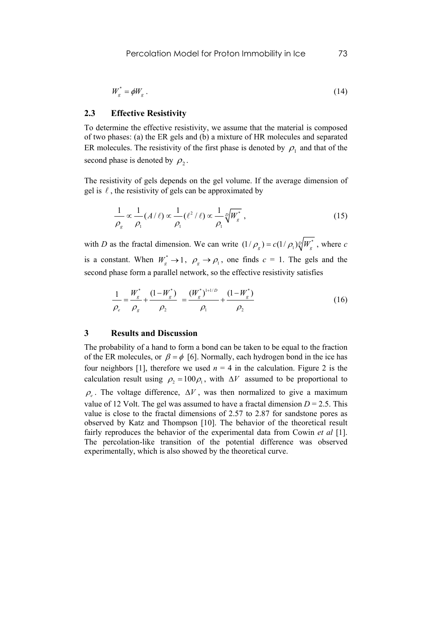$$
W_s^* = \phi W_g \tag{14}
$$

# **2.3 Effective Resistivity**

To determine the effective resistivity, we assume that the material is composed of two phases: (a) the ER gels and (b) a mixture of HR molecules and separated ER molecules. The resistivity of the first phase is denoted by  $\rho_1$  and that of the second phase is denoted by  $\rho_2$ .

The resistivity of gels depends on the gel volume. If the average dimension of gel is  $\ell$ , the resistivity of gels can be approximated by

$$
\frac{1}{\rho_g} \propto \frac{1}{\rho_1} (A/\ell) \propto \frac{1}{\rho_1} (\ell^2/\ell) \propto \frac{1}{\rho_1} \sqrt[p]{W_g^*},
$$
\n(15)

with *D* as the fractal dimension. We can write  $(1 / \rho_{g}) = c(1 / \rho_{1}) \sqrt{\frac{g}{g}}$ , where *c* is a constant. When  $W_s^* \to 1$ ,  $\rho_g \to \rho_1$ , one finds  $c = 1$ . The gels and the second phase form a parallel network, so the effective resistivity satisfies

$$
\frac{1}{\rho_e} = \frac{W_g^*}{\rho_g} + \frac{(1 - W_g^*)}{\rho_2} = \frac{(W_g^*)^{1+1/D}}{\rho_1} + \frac{(1 - W_g^*)}{\rho_2}
$$
(16)

# **3 Results and Discussion**

The probability of a hand to form a bond can be taken to be equal to the fraction of the ER molecules, or  $\beta = \phi$  [6]. Normally, each hydrogen bond in the ice has calculation result using  $\rho_2 = 100 \rho_1$ , with  $\Delta V$  assumed to be proportional to four neighbors [1], therefore we used  $n = 4$  in the calculation. Figure 2 is the  $\rho$ . The voltage difference,  $\Delta V$ , was then normalized to give a maximum value of 12 Volt. The gel was assumed to have a fractal dimension  $D = 2.5$ . This value is close to the fractal dimensions of 2.57 to 2.87 for sandstone pores as observed by Katz and Thompson [10]. The behavior of the theoretical result fairly reproduces the behavior of the experimental data from Cowin *et al* [1]. The percolation-like transition of the potential difference was observed experimentally, which is also showed by the theoretical curve.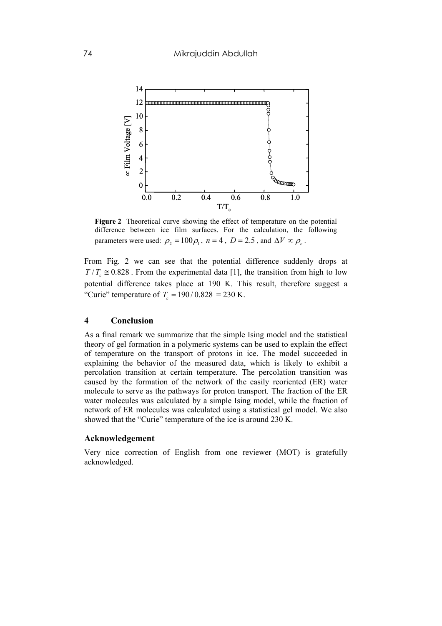

**Figure 2** Theoretical curve showing the effect of temperature on the potential difference between ice film surfaces. For the calculation, the following parameters were used:  $\rho_2 = 100 \rho_1$ ,  $n = 4$ ,  $D = 2.5$ , and  $\Delta V \propto \rho_2$ .

From Fig. 2 we can see that the potential difference suddenly drops at  $T/T_c \approx 0.828$ . From the experimental data [1], the transition from high to low potential difference takes place at 190 K. This result, therefore suggest a "Curie" temperature of  $T_c = 190/0.828 = 230$  K.

#### **4 Conclusion**

As a final remark we summarize that the simple Ising model and the statistical theory of gel formation in a polymeric systems can be used to explain the effect of temperature on the transport of protons in ice. The model succeeded in explaining the behavior of the measured data, which is likely to exhibit a percolation transition at certain temperature. The percolation transition was caused by the formation of the network of the easily reoriented (ER) water molecule to serve as the pathways for proton transport. The fraction of the ER water molecules was calculated by a simple Ising model, while the fraction of network of ER molecules was calculated using a statistical gel model. We also showed that the "Curie" temperature of the ice is around 230 K.

### **Acknowledgement**

Very nice correction of English from one reviewer (MOT) is gratefully acknowledged.